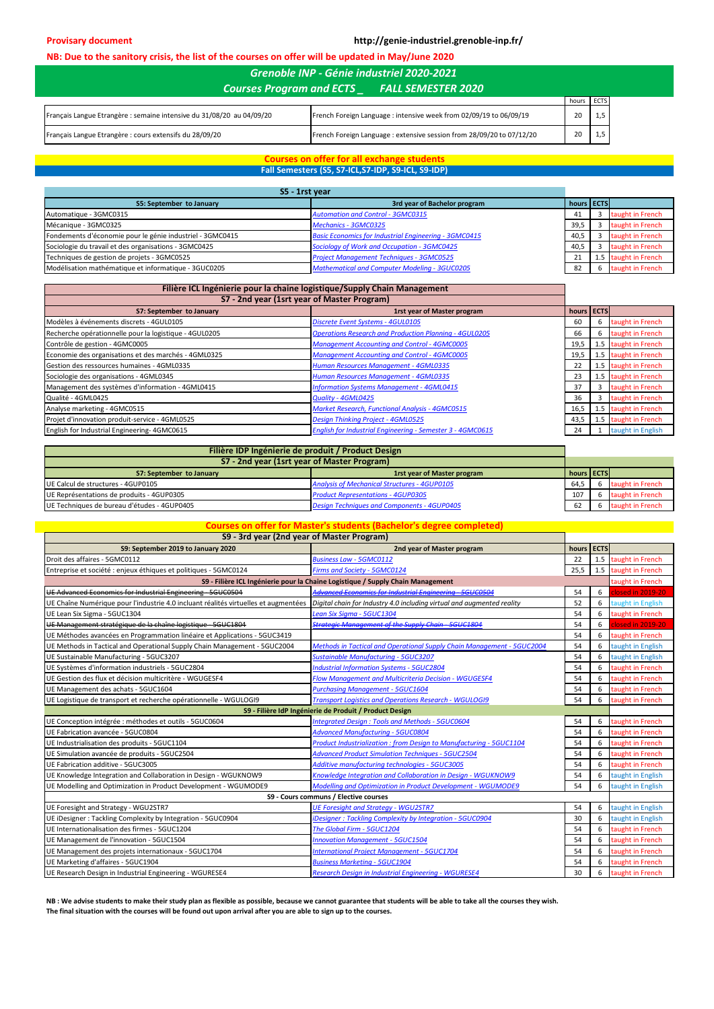**Provisary document http://genie-industriel.grenoble-inp.fr/**

## **NB: Due to the sanitory crisis, the list of the courses on offer will be updated in May/June 2020**

| <b>Courses Program and ECTS</b><br><b>FALL SEMESTER 2020</b>          |                                                                      |       |             |  |
|-----------------------------------------------------------------------|----------------------------------------------------------------------|-------|-------------|--|
|                                                                       |                                                                      | hours | <b>ECTS</b> |  |
| Français Langue Etrangère : semaine intensive du 31/08/20 au 04/09/20 | French Foreign Language : intensive week from 02/09/19 to 06/09/19   |       |             |  |
| Français Langue Etrangère : cours extensifs du 28/09/20               | French Foreign Language: extensive session from 28/09/20 to 07/12/20 |       |             |  |

*Grenoble INP - Génie industriel 2020-2021*

## **Courses on offer for all exchange students Fall Semesters (S5, S7-ICL,S7-IDP, S9-ICL, S9-IDP)**

| S5 - 1rst vear                                            |                                                              |                   |                      |
|-----------------------------------------------------------|--------------------------------------------------------------|-------------------|----------------------|
| S5: September to January                                  | 3rd year of Bachelor program                                 | hours <b>ECTS</b> |                      |
| Automatique - 3GMC0315                                    | <b>Automation and Control - 3GMC0315</b>                     | -41               | taught in French     |
| Mécanique - 3GMC0325                                      | <b>Mechanics - 3GMC0325</b>                                  | 39.5              | taught in French     |
| Fondements d'économie pour le génie industriel - 3GMC0415 | <b>Basic Economics for Industrial Engineering - 3GMC0415</b> | 40,5              | taught in French     |
| Sociologie du travail et des organisations - 3GMC0425     | Sociology of Work and Occupation - 3GMC0425                  | 40,5              | taught in French     |
| Techniques de gestion de projets - 3GMC0525               | <b>Project Management Techniques - 3GMC0525</b>              | 21                | 1.5 taught in French |
| Modélisation mathématique et informatique - 3GUC0205      | <b>Mathematical and Computer Modeling - 3GUC0205</b>         | -82               | taught in French     |

| Filière ICL Ingénierie pour la chaine logistique/Supply Chain Management |                                                               |            |   |                           |
|--------------------------------------------------------------------------|---------------------------------------------------------------|------------|---|---------------------------|
| S7 - 2nd year (1srt year of Master Program)                              |                                                               |            |   |                           |
| <b>S7: September to January</b>                                          | <b>1rst year of Master program</b>                            | hours ECTS |   |                           |
| Modèles à événements discrets - 4GUL0105                                 | Discrete Event Systems - 4GUL0105                             | 60         | 6 | taught in French          |
| Recherche opérationnelle pour la logistique - 4GUL0205                   | <b>Operations Research and Production Planning - 4GUL0205</b> | 66         | 6 | taught in French          |
| Contrôle de gestion - 4GMC0005                                           | <b>Management Accounting and Control - 4GMC0005</b>           | 19,5       |   | 1.5 taught in French      |
| Economie des organisations et des marchés - 4GML0325                     | <b>Management Accounting and Control - 4GMC0005</b>           | 19,5       |   | 1.5 taught in French      |
| Gestion des ressources humaines - 4GML0335                               | Human Resources Management - 4GML0335                         | 22         |   | 1.5 taught in French      |
| Sociologie des organisations - 4GML0345                                  | Human Resources Management - 4GML0335                         | 23         |   | 1.5 taught in French      |
| Management des systèmes d'information - 4GML0415                         | <b>Information Systems Management - 4GML0415</b>              | 37         |   | taught in French          |
| Qualité - 4GML0425                                                       | Quality - 4GML0425                                            | 36         |   | taught in French          |
| Analyse marketing - 4GMC0515                                             | <b>Market Research, Functional Analysis - 4GMC0515</b>        | 16,5       |   | 1.5 taught in French      |
| Projet d'innovation produit-service - 4GML0525                           | <b>Design Thinking Project - 4GML0525</b>                     |            |   | 43,5 1.5 taught in French |
| English for Industrial Engineering-4GMC0615                              | English for Industrial Engineering - Semester 3 - 4GMC0615    | 24         |   | taught in English         |

| Filière IDP Ingénierie de produit / Product Design |                                                     |                   |  |                  |  |
|----------------------------------------------------|-----------------------------------------------------|-------------------|--|------------------|--|
| S7 - 2nd year (1srt year of Master Program)        |                                                     |                   |  |                  |  |
| S7: September to January                           | <b>1rst year of Master program</b>                  | hours <b>ECTS</b> |  |                  |  |
| UE Calcul de structures - 4GUP0105                 | <b>Analysis of Mechanical Structures - 4GUP0105</b> | 64.5              |  | taught in French |  |
| UE Représentations de produits - 4GUP0305          | <b>Product Representations - 4GUP0305</b>           | 107               |  | taught in French |  |
| UE Techniques de bureau d'études - 4GUP0405        | <b>Design Techniques and Components - 4GUP0405</b>  | 62                |  | taught in French |  |

## **Courses on offer for Master's students (Bachelor's degree completed)**

| S9 - 3rd year (2nd year of Master Program)                                          |                                                                                 |       |             |                      |
|-------------------------------------------------------------------------------------|---------------------------------------------------------------------------------|-------|-------------|----------------------|
| S9: September 2019 to January 2020                                                  | 2nd year of Master program                                                      | hours | <b>ECTS</b> |                      |
| Droit des affaires - 5GMC0112                                                       | <b>Business Law - 5GMC0112</b>                                                  | 22    |             | 1.5 taught in French |
| Entreprise et société : enjeux éthiques et politiques - 5GMC0124                    | <b>Firms and Society - 5GMC0124</b>                                             | 25,5  | 1.5         | taught in French     |
|                                                                                     | S9 - Filière ICL Ingénierie pour la Chaine Logistique / Supply Chain Management |       |             | taught in French     |
| UE Advanced Economics for Industrial Engineering - 5GUC0504                         | <b>Advanced Economics for Industrial Engineering - 5GUC0504</b>                 | 54    | 6           | closed in 2019-20    |
| UE Chaîne Numérique pour l'industrie 4.0 incluant réalités virtuelles et augmentées | Digital chain for Industry 4.0 including virtual and augmented reality          | 52    | 6           | taught in English    |
| UE Lean Six Sigma - 5GUC1304                                                        | Lean Six Sigma - 5GUC1304                                                       | 54    | 6           | taught in French     |
| UE Management stratégique de la chaîne logistique - 5GUC1804                        | <b>Strategic Management of the Supply Chain - 5GUC1804</b>                      | 54    | 6           | closed in 2019-20    |
| UE Méthodes avancées en Programmation linéaire et Applications - 5GUC3419           |                                                                                 | 54    | 6           | taught in French     |
| UE Methods in Tactical and Operational Supply Chain Management - 5GUC2004           | <b>Methods in Tactical and Operational Supply Chain Management - 5GUC2004</b>   | 54    | 6           | taught in English    |
| UE Sustainable Manufacturing - 5GUC3207                                             | Sustainable Manufacturing - 5GUC3207                                            | 54    | 6           | taught in English    |
| UE Systèmes d'information industriels - 5GUC2804                                    | <b>Industrial Information Systems - 5GUC2804</b>                                | 54    | 6           | taught in French     |
| UE Gestion des flux et décision multicritère - WGUGESF4                             | Flow Management and Multicriteria Decision - WGUGESF4                           | 54    | 6           | taught in French     |
| UE Management des achats - 5GUC1604                                                 | <b>Purchasing Management - 5GUC1604</b>                                         | 54    | 6           | taught in French     |
| UE Logistique de transport et recherche opérationnelle - WGULOGI9                   | <b>Transport Loaistics and Operations Research - WGULOGI9</b>                   | 54    | 6           | taught in French     |
|                                                                                     | S9 - Filière IdP Ingénierie de Produit / Product Design                         |       |             |                      |
| UE Conception intégrée : méthodes et outils - 5GUC0604                              | <b>Integrated Design: Tools and Methods - 5GUC0604</b>                          | 54    | 6           | taught in French     |
| UE Fabrication avancée - 5GUC0804                                                   | <b>Advanced Manufacturing - 5GUC0804</b>                                        | 54    | 6           | taught in French     |
| UE Industrialisation des produits - 5GUC1104                                        | Product Industrialization : from Design to Manufacturing - 5GUC1104             | 54    | 6           | taught in French     |
| UE Simulation avancée de produits - 5GUC2504                                        | <b>Advanced Product Simulation Techniques - 5GUC2504</b>                        | 54    | 6           | taught in French     |
| UE Fabrication additive - 5GUC3005                                                  | Additive manufacturing technologies - 5GUC3005                                  | 54    | 6           | taught in French     |
| UE Knowledge Integration and Collaboration in Design - WGUKNOW9                     | Knowledge Integration and Collaboration in Design - WGUKNOW9                    | 54    | 6           | taught in English    |
| UE Modelling and Optimization in Product Development - WGUMODE9                     | <b>Modelling and Optimization in Product Development - WGUMODE9</b>             | 54    | 6           | taught in English    |
| S9 - Cours communs / Elective courses                                               |                                                                                 |       |             |                      |
| UE Foresight and Strategy - WGU2STR7                                                | <b>UE Foresight and Strategy - WGU2STR7</b>                                     | 54    | 6           | taught in English    |
| UE iDesigner: Tackling Complexity by Integration - 5GUC0904                         | iDesigner: Tackling Complexity by Integration - 5GUC0904                        | 30    | 6           | taught in English    |
| UE Internationalisation des firmes - 5GUC1204                                       | The Global Firm - 5GUC1204                                                      | 54    | 6           | taught in French     |
| UE Management de l'innovation - 5GUC1504                                            | <b>Innovation Management - 5GUC1504</b>                                         | 54    | 6           | taught in French     |
| UE Management des projets internationaux - 5GUC1704                                 | <b>International Project Management - 5GUC1704</b>                              | 54    | 6           | taught in French     |
| UE Marketing d'affaires - 5GUC1904                                                  | <b>Business Marketing - 5GUC1904</b>                                            | 54    | 6           | taught in French     |
| UE Research Design in Industrial Engineering - WGURESE4                             | <b>Research Design in Industrial Engineering - WGURESE4</b>                     | 30    | 6           | taught in French     |

**NB : We advise students to make their study plan as flexible as possible, because we cannot guarantee that students will be able to take all the courses they wish. The final situation with the courses will be found out upon arrival after you are able to sign up to the courses.**